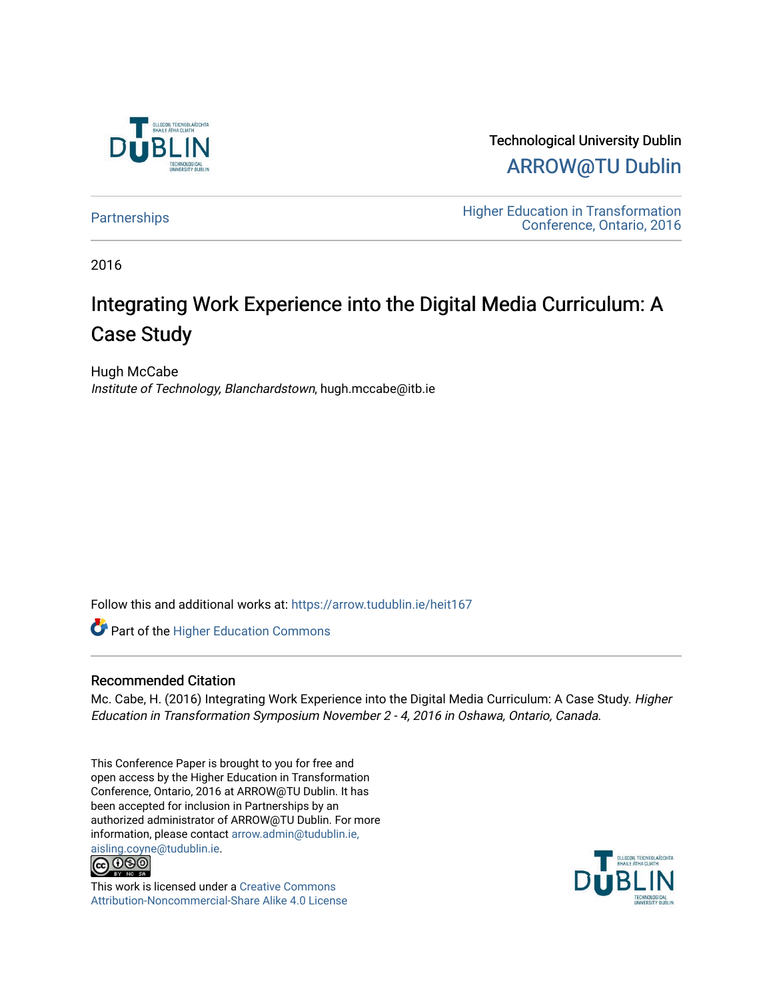

Technological University Dublin [ARROW@TU Dublin](https://arrow.tudublin.ie/) 

[Partnerships](https://arrow.tudublin.ie/heit167) **Education** Higher Education in Transformation [Conference, Ontario, 2016](https://arrow.tudublin.ie/tuheit16) 

2016

# Integrating Work Experience into the Digital Media Curriculum: A Case Study

Hugh McCabe Institute of Technology, Blanchardstown, hugh.mccabe@itb.ie

Follow this and additional works at: [https://arrow.tudublin.ie/heit167](https://arrow.tudublin.ie/heit167?utm_source=arrow.tudublin.ie%2Fheit167%2F6&utm_medium=PDF&utm_campaign=PDFCoverPages)

Part of the [Higher Education Commons](http://network.bepress.com/hgg/discipline/1245?utm_source=arrow.tudublin.ie%2Fheit167%2F6&utm_medium=PDF&utm_campaign=PDFCoverPages) 

# Recommended Citation

Mc. Cabe, H. (2016) Integrating Work Experience into the Digital Media Curriculum: A Case Study. Higher Education in Transformation Symposium November 2 - 4, 2016 in Oshawa, Ontario, Canada.

This Conference Paper is brought to you for free and open access by the Higher Education in Transformation Conference, Ontario, 2016 at ARROW@TU Dublin. It has been accepted for inclusion in Partnerships by an authorized administrator of ARROW@TU Dublin. For more information, please contact [arrow.admin@tudublin.ie,](mailto:arrow.admin@tudublin.ie,%20aisling.coyne@tudublin.ie) 



This work is licensed under a [Creative Commons](http://creativecommons.org/licenses/by-nc-sa/4.0/) [Attribution-Noncommercial-Share Alike 4.0 License](http://creativecommons.org/licenses/by-nc-sa/4.0/)

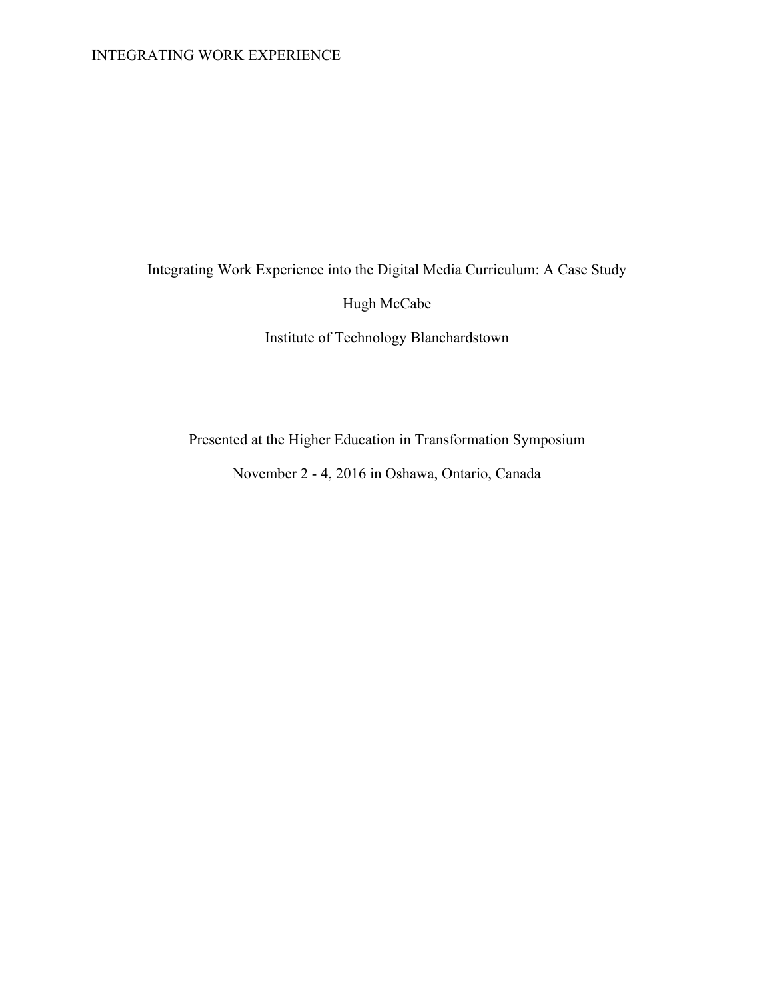Integrating Work Experience into the Digital Media Curriculum: A Case Study

Hugh McCabe

Institute of Technology Blanchardstown

Presented at the Higher Education in Transformation Symposium

November 2 - 4, 2016 in Oshawa, Ontario, Canada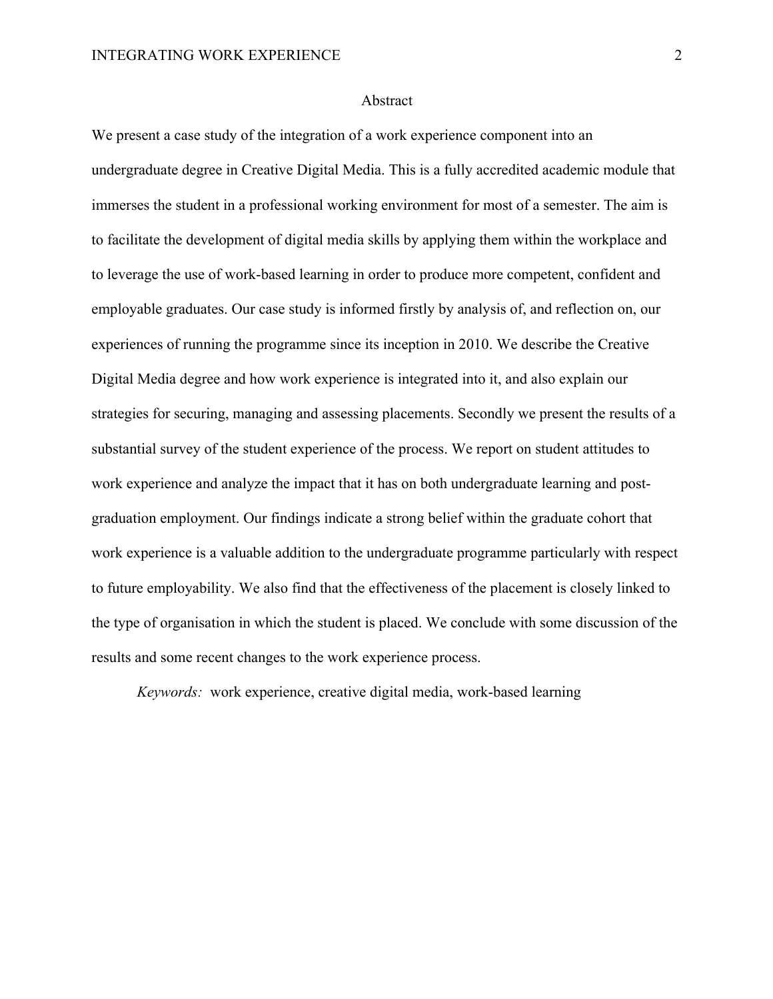# Abstract

We present a case study of the integration of a work experience component into an undergraduate degree in Creative Digital Media. This is a fully accredited academic module that immerses the student in a professional working environment for most of a semester. The aim is to facilitate the development of digital media skills by applying them within the workplace and to leverage the use of work-based learning in order to produce more competent, confident and employable graduates. Our case study is informed firstly by analysis of, and reflection on, our experiences of running the programme since its inception in 2010. We describe the Creative Digital Media degree and how work experience is integrated into it, and also explain our strategies for securing, managing and assessing placements. Secondly we present the results of a substantial survey of the student experience of the process. We report on student attitudes to work experience and analyze the impact that it has on both undergraduate learning and postgraduation employment. Our findings indicate a strong belief within the graduate cohort that work experience is a valuable addition to the undergraduate programme particularly with respect to future employability. We also find that the effectiveness of the placement is closely linked to the type of organisation in which the student is placed. We conclude with some discussion of the results and some recent changes to the work experience process.

*Keywords:* work experience, creative digital media, work-based learning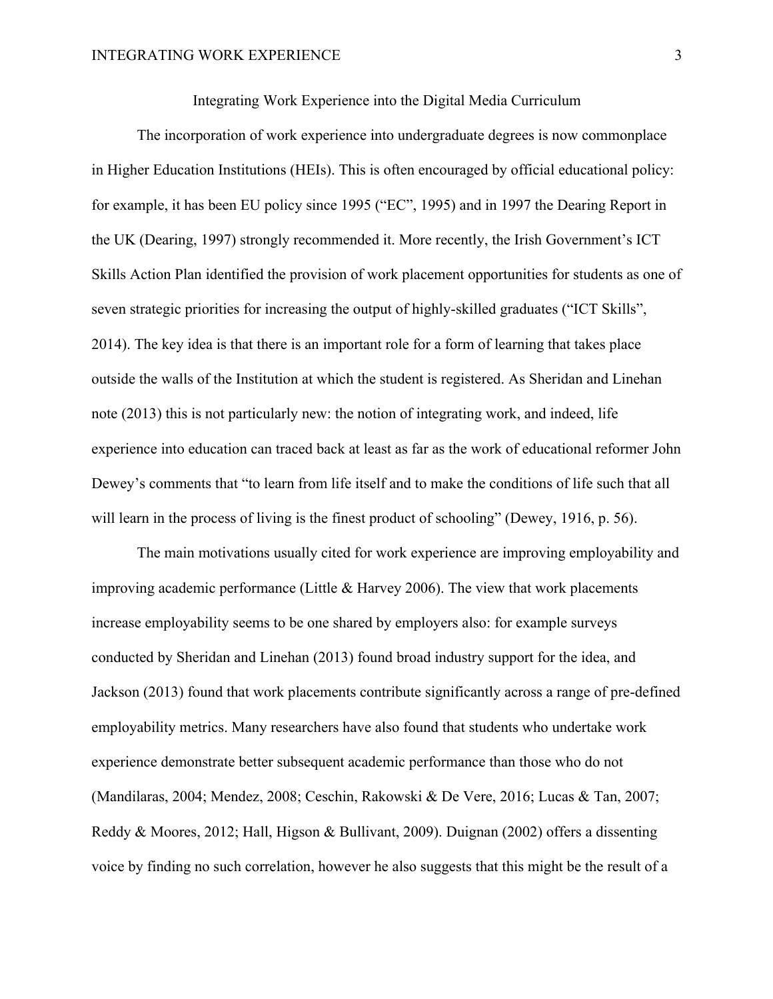Integrating Work Experience into the Digital Media Curriculum

The incorporation of work experience into undergraduate degrees is now commonplace in Higher Education Institutions (HEIs). This is often encouraged by official educational policy: for example, it has been EU policy since 1995 ("EC", 1995) and in 1997 the Dearing Report in the UK (Dearing, 1997) strongly recommended it. More recently, the Irish Government's ICT Skills Action Plan identified the provision of work placement opportunities for students as one of seven strategic priorities for increasing the output of highly-skilled graduates ("ICT Skills", 2014). The key idea is that there is an important role for a form of learning that takes place outside the walls of the Institution at which the student is registered. As Sheridan and Linehan note (2013) this is not particularly new: the notion of integrating work, and indeed, life experience into education can traced back at least as far as the work of educational reformer John Dewey's comments that "to learn from life itself and to make the conditions of life such that all will learn in the process of living is the finest product of schooling" (Dewey, 1916, p. 56).

The main motivations usually cited for work experience are improving employability and improving academic performance (Little & Harvey 2006). The view that work placements increase employability seems to be one shared by employers also: for example surveys conducted by Sheridan and Linehan (2013) found broad industry support for the idea, and Jackson (2013) found that work placements contribute significantly across a range of pre-defined employability metrics. Many researchers have also found that students who undertake work experience demonstrate better subsequent academic performance than those who do not (Mandilaras, 2004; Mendez, 2008; Ceschin, Rakowski & De Vere, 2016; Lucas & Tan, 2007; Reddy & Moores, 2012; Hall, Higson & Bullivant, 2009). Duignan (2002) offers a dissenting voice by finding no such correlation, however he also suggests that this might be the result of a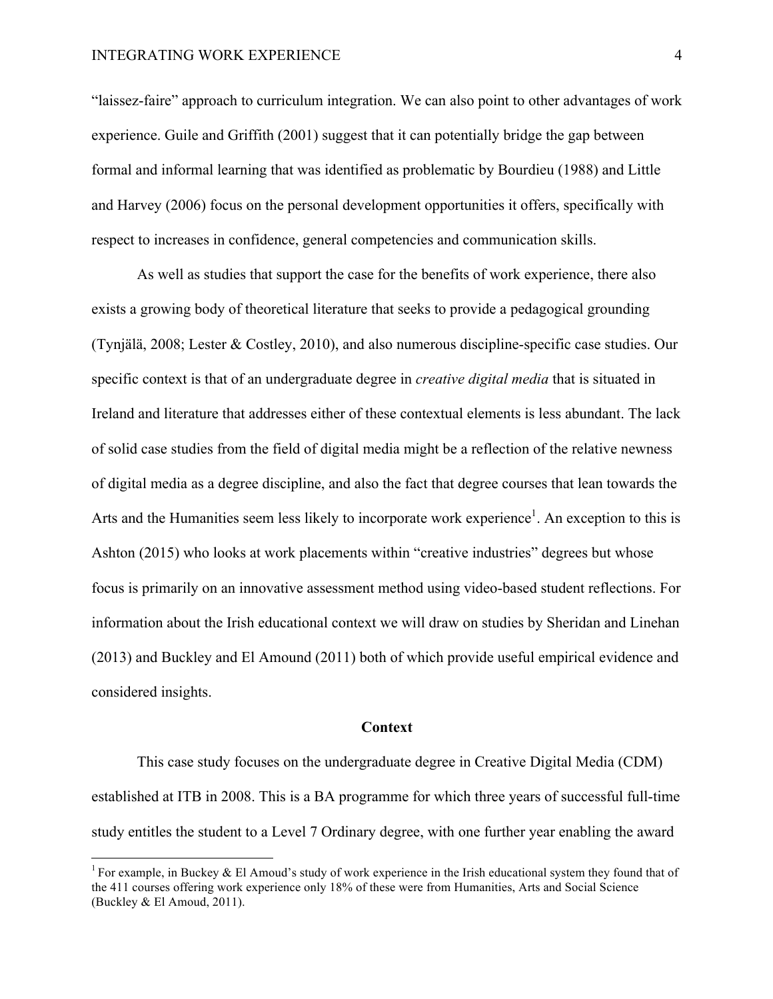"laissez-faire" approach to curriculum integration. We can also point to other advantages of work experience. Guile and Griffith (2001) suggest that it can potentially bridge the gap between formal and informal learning that was identified as problematic by Bourdieu (1988) and Little and Harvey (2006) focus on the personal development opportunities it offers, specifically with respect to increases in confidence, general competencies and communication skills.

As well as studies that support the case for the benefits of work experience, there also exists a growing body of theoretical literature that seeks to provide a pedagogical grounding (Tynjälä, 2008; Lester & Costley, 2010), and also numerous discipline-specific case studies. Our specific context is that of an undergraduate degree in *creative digital media* that is situated in Ireland and literature that addresses either of these contextual elements is less abundant. The lack of solid case studies from the field of digital media might be a reflection of the relative newness of digital media as a degree discipline, and also the fact that degree courses that lean towards the Arts and the Humanities seem less likely to incorporate work experience<sup>1</sup>. An exception to this is Ashton (2015) who looks at work placements within "creative industries" degrees but whose focus is primarily on an innovative assessment method using video-based student reflections. For information about the Irish educational context we will draw on studies by Sheridan and Linehan (2013) and Buckley and El Amound (2011) both of which provide useful empirical evidence and considered insights.

# **Context**

This case study focuses on the undergraduate degree in Creative Digital Media (CDM) established at ITB in 2008. This is a BA programme for which three years of successful full-time study entitles the student to a Level 7 Ordinary degree, with one further year enabling the award

<sup>&</sup>lt;sup>1</sup> For example, in Buckey & El Amoud's study of work experience in the Irish educational system they found that of the 411 courses offering work experience only 18% of these were from Humanities, Arts and Social Science (Buckley & El Amoud, 2011).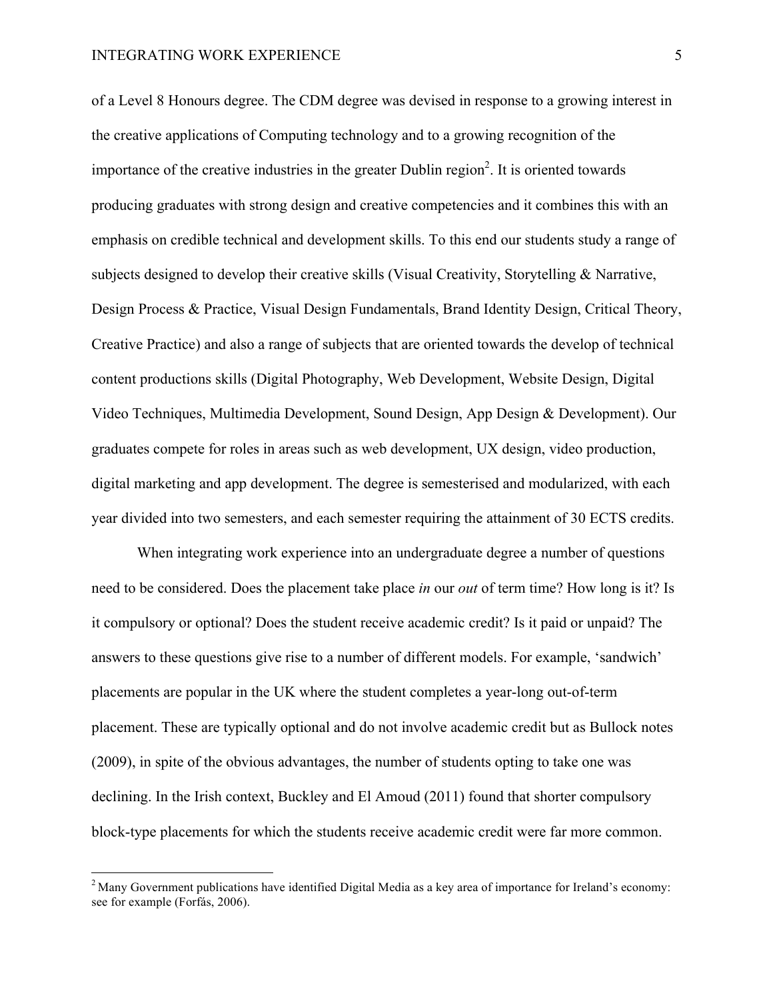of a Level 8 Honours degree. The CDM degree was devised in response to a growing interest in the creative applications of Computing technology and to a growing recognition of the importance of the creative industries in the greater Dublin region<sup>2</sup>. It is oriented towards producing graduates with strong design and creative competencies and it combines this with an emphasis on credible technical and development skills. To this end our students study a range of subjects designed to develop their creative skills (Visual Creativity, Storytelling & Narrative, Design Process & Practice, Visual Design Fundamentals, Brand Identity Design, Critical Theory, Creative Practice) and also a range of subjects that are oriented towards the develop of technical content productions skills (Digital Photography, Web Development, Website Design, Digital Video Techniques, Multimedia Development, Sound Design, App Design & Development). Our graduates compete for roles in areas such as web development, UX design, video production, digital marketing and app development. The degree is semesterised and modularized, with each year divided into two semesters, and each semester requiring the attainment of 30 ECTS credits.

When integrating work experience into an undergraduate degree a number of questions need to be considered. Does the placement take place *in* our *out* of term time? How long is it? Is it compulsory or optional? Does the student receive academic credit? Is it paid or unpaid? The answers to these questions give rise to a number of different models. For example, 'sandwich' placements are popular in the UK where the student completes a year-long out-of-term placement. These are typically optional and do not involve academic credit but as Bullock notes (2009), in spite of the obvious advantages, the number of students opting to take one was declining. In the Irish context, Buckley and El Amoud (2011) found that shorter compulsory block-type placements for which the students receive academic credit were far more common.

<sup>&</sup>lt;sup>2</sup> Many Government publications have identified Digital Media as a key area of importance for Ireland's economy: see for example (Forfás, 2006).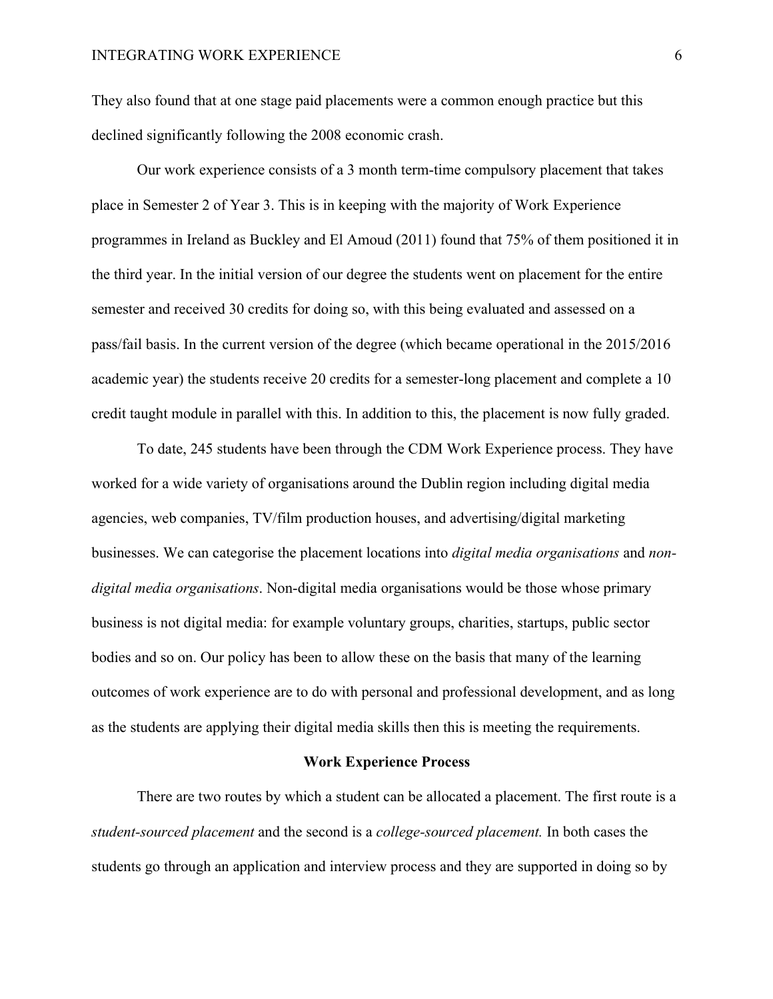They also found that at one stage paid placements were a common enough practice but this declined significantly following the 2008 economic crash.

Our work experience consists of a 3 month term-time compulsory placement that takes place in Semester 2 of Year 3. This is in keeping with the majority of Work Experience programmes in Ireland as Buckley and El Amoud (2011) found that 75% of them positioned it in the third year. In the initial version of our degree the students went on placement for the entire semester and received 30 credits for doing so, with this being evaluated and assessed on a pass/fail basis. In the current version of the degree (which became operational in the 2015/2016 academic year) the students receive 20 credits for a semester-long placement and complete a 10 credit taught module in parallel with this. In addition to this, the placement is now fully graded.

To date, 245 students have been through the CDM Work Experience process. They have worked for a wide variety of organisations around the Dublin region including digital media agencies, web companies, TV/film production houses, and advertising/digital marketing businesses. We can categorise the placement locations into *digital media organisations* and *nondigital media organisations*. Non-digital media organisations would be those whose primary business is not digital media: for example voluntary groups, charities, startups, public sector bodies and so on. Our policy has been to allow these on the basis that many of the learning outcomes of work experience are to do with personal and professional development, and as long as the students are applying their digital media skills then this is meeting the requirements.

# **Work Experience Process**

There are two routes by which a student can be allocated a placement. The first route is a *student-sourced placement* and the second is a *college-sourced placement.* In both cases the students go through an application and interview process and they are supported in doing so by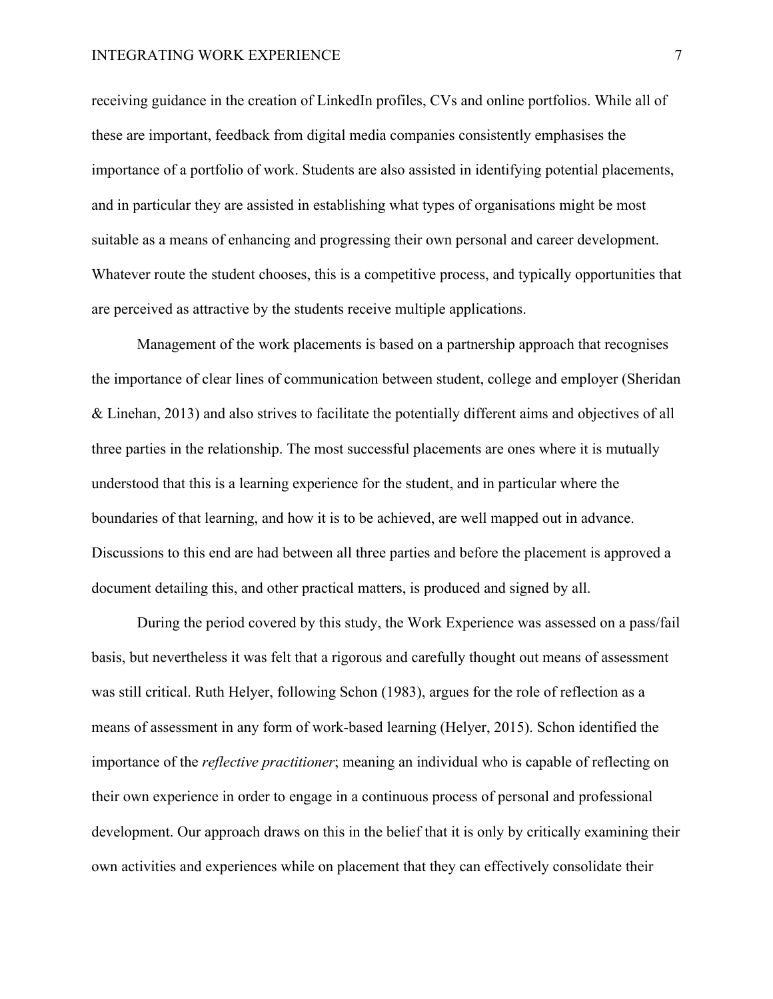receiving guidance in the creation of LinkedIn profiles, CVs and online portfolios. While all of these are important, feedback from digital media companies consistently emphasises the importance of a portfolio of work. Students are also assisted in identifying potential placements, and in particular they are assisted in establishing what types of organisations might be most suitable as a means of enhancing and progressing their own personal and career development. Whatever route the student chooses, this is a competitive process, and typically opportunities that are perceived as attractive by the students receive multiple applications.

Management of the work placements is based on a partnership approach that recognises the importance of clear lines of communication between student, college and employer (Sheridan & Linehan, 2013) and also strives to facilitate the potentially different aims and objectives of all three parties in the relationship. The most successful placements are ones where it is mutually understood that this is a learning experience for the student, and in particular where the boundaries of that learning, and how it is to be achieved, are well mapped out in advance. Discussions to this end are had between all three parties and before the placement is approved a document detailing this, and other practical matters, is produced and signed by all.

During the period covered by this study, the Work Experience was assessed on a pass/fail basis, but nevertheless it was felt that a rigorous and carefully thought out means of assessment was still critical. Ruth Helyer, following Schon (1983), argues for the role of reflection as a means of assessment in any form of work-based learning (Helyer, 2015). Schon identified the importance of the *reflective practitioner*; meaning an individual who is capable of reflecting on their own experience in order to engage in a continuous process of personal and professional development. Our approach draws on this in the belief that it is only by critically examining their own activities and experiences while on placement that they can effectively consolidate their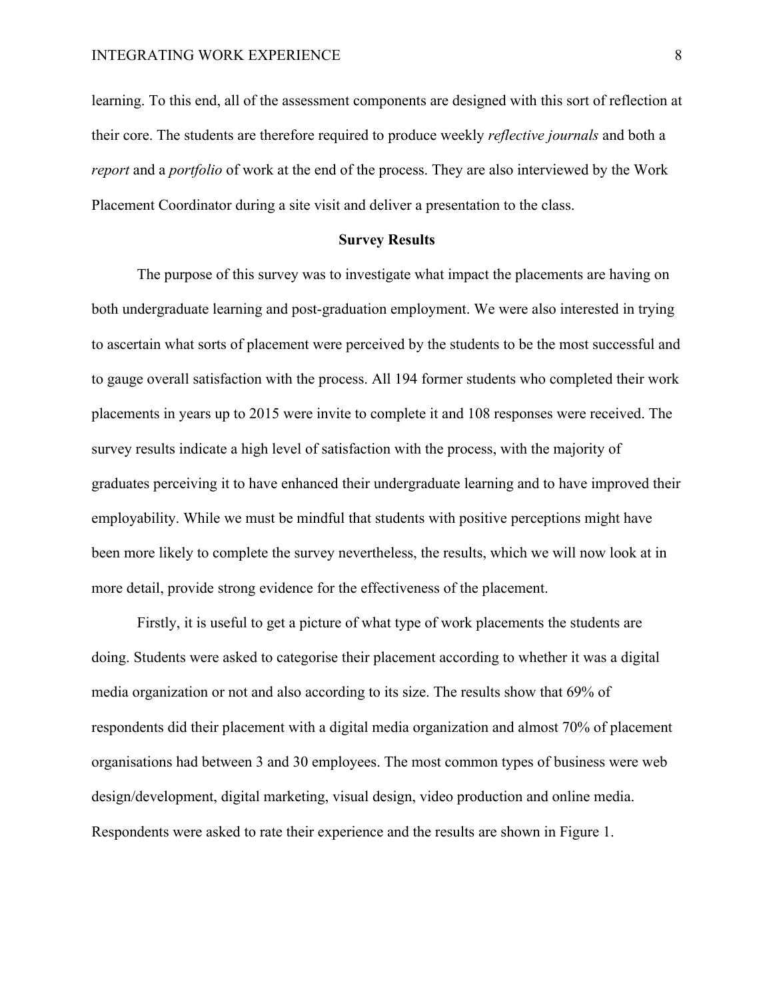learning. To this end, all of the assessment components are designed with this sort of reflection at their core. The students are therefore required to produce weekly *reflective journals* and both a *report* and a *portfolio* of work at the end of the process. They are also interviewed by the Work Placement Coordinator during a site visit and deliver a presentation to the class.

# **Survey Results**

The purpose of this survey was to investigate what impact the placements are having on both undergraduate learning and post-graduation employment. We were also interested in trying to ascertain what sorts of placement were perceived by the students to be the most successful and to gauge overall satisfaction with the process. All 194 former students who completed their work placements in years up to 2015 were invite to complete it and 108 responses were received. The survey results indicate a high level of satisfaction with the process, with the majority of graduates perceiving it to have enhanced their undergraduate learning and to have improved their employability. While we must be mindful that students with positive perceptions might have been more likely to complete the survey nevertheless, the results, which we will now look at in more detail, provide strong evidence for the effectiveness of the placement.

Firstly, it is useful to get a picture of what type of work placements the students are doing. Students were asked to categorise their placement according to whether it was a digital media organization or not and also according to its size. The results show that 69% of respondents did their placement with a digital media organization and almost 70% of placement organisations had between 3 and 30 employees. The most common types of business were web design/development, digital marketing, visual design, video production and online media. Respondents were asked to rate their experience and the results are shown in Figure 1.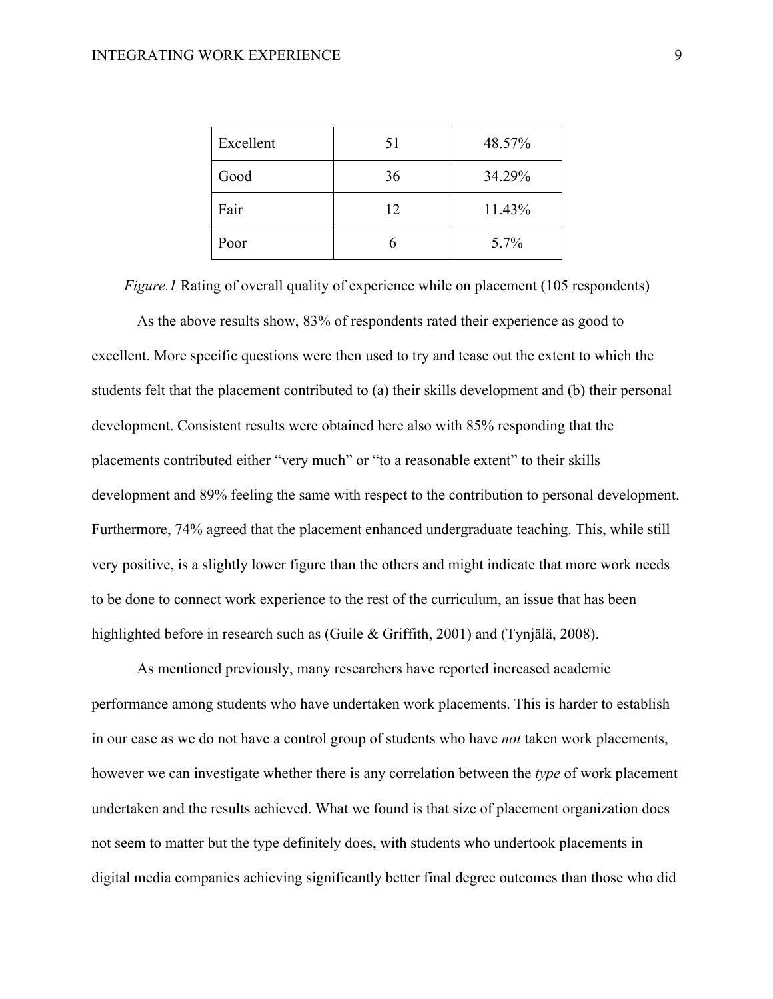| Excellent | 51 | 48.57% |
|-----------|----|--------|
| Good      | 36 | 34.29% |
| Fair      | 12 | 11.43% |
| Poor      |    | 5.7%   |

*Figure.1* Rating of overall quality of experience while on placement (105 respondents)

As the above results show, 83% of respondents rated their experience as good to excellent. More specific questions were then used to try and tease out the extent to which the students felt that the placement contributed to (a) their skills development and (b) their personal development. Consistent results were obtained here also with 85% responding that the placements contributed either "very much" or "to a reasonable extent" to their skills development and 89% feeling the same with respect to the contribution to personal development. Furthermore, 74% agreed that the placement enhanced undergraduate teaching. This, while still very positive, is a slightly lower figure than the others and might indicate that more work needs to be done to connect work experience to the rest of the curriculum, an issue that has been highlighted before in research such as (Guile & Griffith, 2001) and (Tynjälä, 2008).

As mentioned previously, many researchers have reported increased academic performance among students who have undertaken work placements. This is harder to establish in our case as we do not have a control group of students who have *not* taken work placements, however we can investigate whether there is any correlation between the *type* of work placement undertaken and the results achieved. What we found is that size of placement organization does not seem to matter but the type definitely does, with students who undertook placements in digital media companies achieving significantly better final degree outcomes than those who did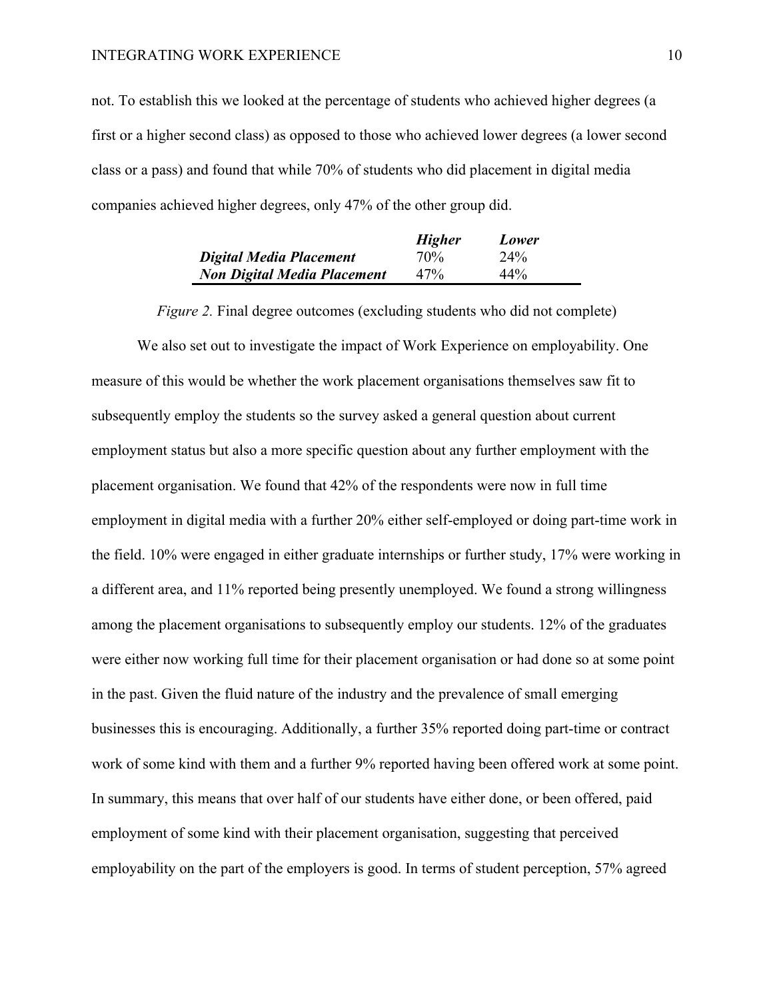not. To establish this we looked at the percentage of students who achieved higher degrees (a first or a higher second class) as opposed to those who achieved lower degrees (a lower second class or a pass) and found that while 70% of students who did placement in digital media companies achieved higher degrees, only 47% of the other group did.

|                                    | <b>Higher</b> | Lower  |
|------------------------------------|---------------|--------|
| Digital Media Placement            | 70%           | 24%    |
| <b>Non Digital Media Placement</b> | 47%           | $44\%$ |

*Figure 2.* Final degree outcomes (excluding students who did not complete)

We also set out to investigate the impact of Work Experience on employability. One measure of this would be whether the work placement organisations themselves saw fit to subsequently employ the students so the survey asked a general question about current employment status but also a more specific question about any further employment with the placement organisation. We found that 42% of the respondents were now in full time employment in digital media with a further 20% either self-employed or doing part-time work in the field. 10% were engaged in either graduate internships or further study, 17% were working in a different area, and 11% reported being presently unemployed. We found a strong willingness among the placement organisations to subsequently employ our students. 12% of the graduates were either now working full time for their placement organisation or had done so at some point in the past. Given the fluid nature of the industry and the prevalence of small emerging businesses this is encouraging. Additionally, a further 35% reported doing part-time or contract work of some kind with them and a further 9% reported having been offered work at some point. In summary, this means that over half of our students have either done, or been offered, paid employment of some kind with their placement organisation, suggesting that perceived employability on the part of the employers is good. In terms of student perception, 57% agreed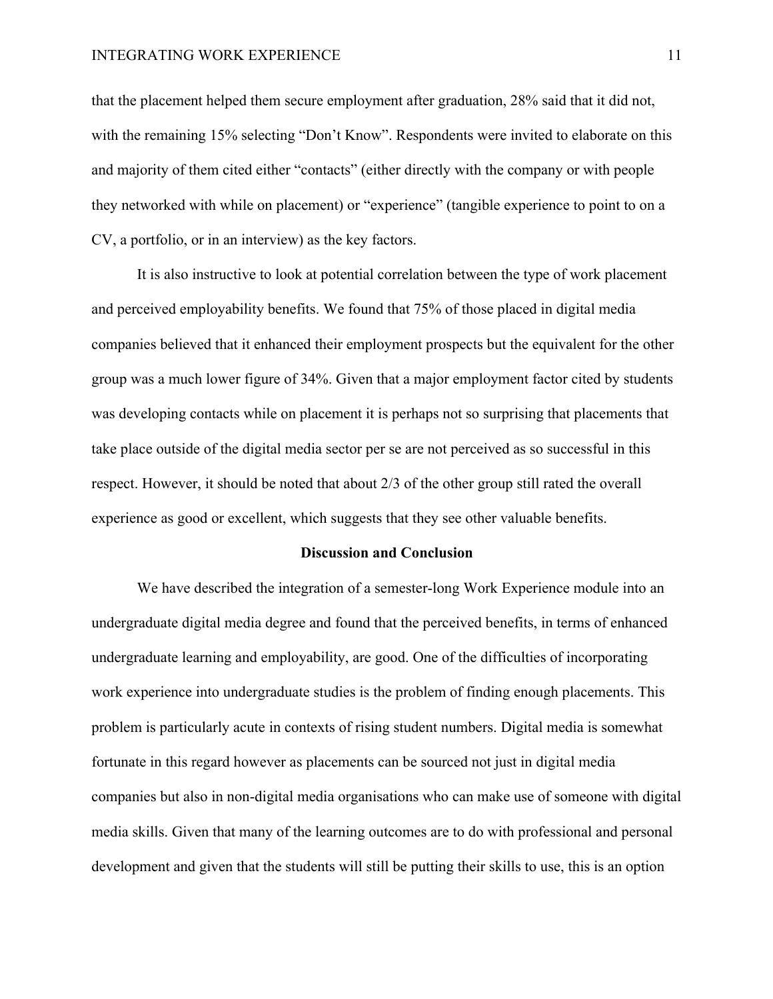that the placement helped them secure employment after graduation, 28% said that it did not, with the remaining 15% selecting "Don't Know". Respondents were invited to elaborate on this and majority of them cited either "contacts" (either directly with the company or with people they networked with while on placement) or "experience" (tangible experience to point to on a CV, a portfolio, or in an interview) as the key factors.

It is also instructive to look at potential correlation between the type of work placement and perceived employability benefits. We found that 75% of those placed in digital media companies believed that it enhanced their employment prospects but the equivalent for the other group was a much lower figure of 34%. Given that a major employment factor cited by students was developing contacts while on placement it is perhaps not so surprising that placements that take place outside of the digital media sector per se are not perceived as so successful in this respect. However, it should be noted that about 2/3 of the other group still rated the overall experience as good or excellent, which suggests that they see other valuable benefits.

#### **Discussion and Conclusion**

We have described the integration of a semester-long Work Experience module into an undergraduate digital media degree and found that the perceived benefits, in terms of enhanced undergraduate learning and employability, are good. One of the difficulties of incorporating work experience into undergraduate studies is the problem of finding enough placements. This problem is particularly acute in contexts of rising student numbers. Digital media is somewhat fortunate in this regard however as placements can be sourced not just in digital media companies but also in non-digital media organisations who can make use of someone with digital media skills. Given that many of the learning outcomes are to do with professional and personal development and given that the students will still be putting their skills to use, this is an option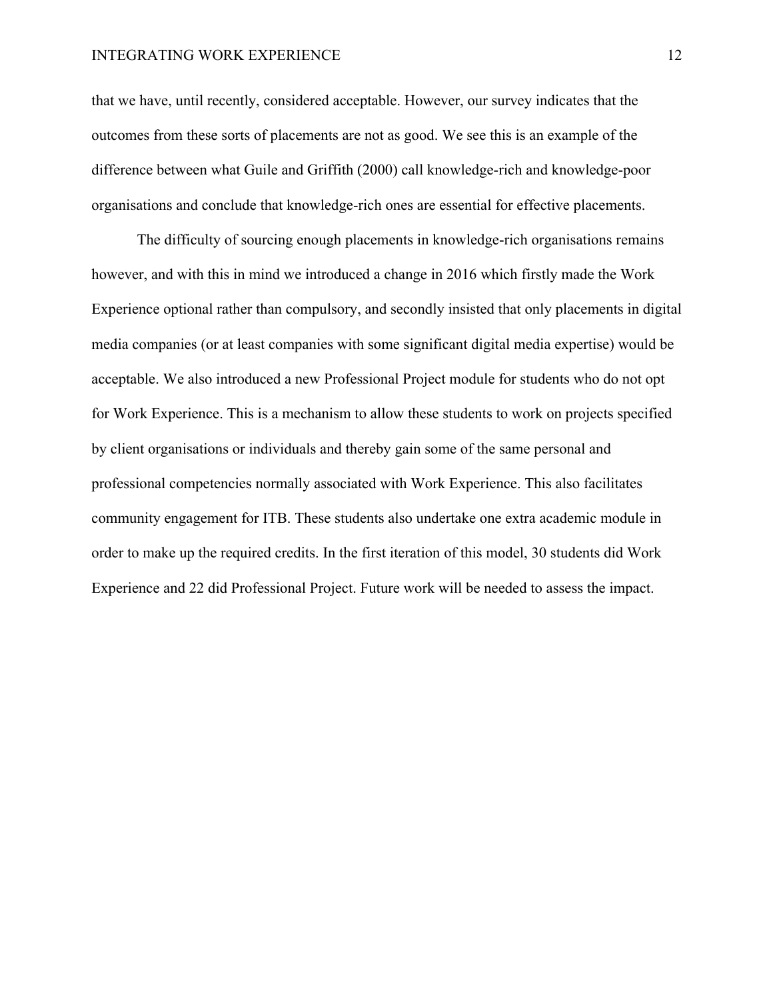that we have, until recently, considered acceptable. However, our survey indicates that the outcomes from these sorts of placements are not as good. We see this is an example of the difference between what Guile and Griffith (2000) call knowledge-rich and knowledge-poor organisations and conclude that knowledge-rich ones are essential for effective placements.

The difficulty of sourcing enough placements in knowledge-rich organisations remains however, and with this in mind we introduced a change in 2016 which firstly made the Work Experience optional rather than compulsory, and secondly insisted that only placements in digital media companies (or at least companies with some significant digital media expertise) would be acceptable. We also introduced a new Professional Project module for students who do not opt for Work Experience. This is a mechanism to allow these students to work on projects specified by client organisations or individuals and thereby gain some of the same personal and professional competencies normally associated with Work Experience. This also facilitates community engagement for ITB. These students also undertake one extra academic module in order to make up the required credits. In the first iteration of this model, 30 students did Work Experience and 22 did Professional Project. Future work will be needed to assess the impact.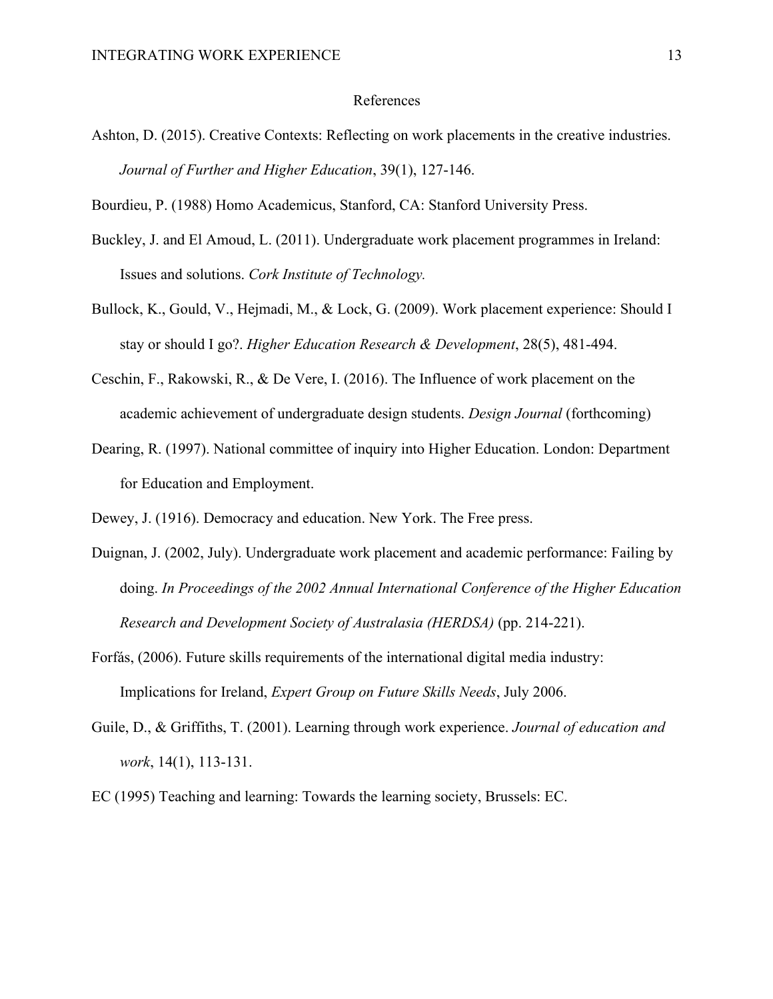#### References

Ashton, D. (2015). Creative Contexts: Reflecting on work placements in the creative industries. *Journal of Further and Higher Education*, 39(1), 127-146.

Bourdieu, P. (1988) Homo Academicus, Stanford, CA: Stanford University Press.

- Buckley, J. and El Amoud, L. (2011). Undergraduate work placement programmes in Ireland: Issues and solutions. *Cork Institute of Technology.*
- Bullock, K., Gould, V., Hejmadi, M., & Lock, G. (2009). Work placement experience: Should I stay or should I go?. *Higher Education Research & Development*, 28(5), 481-494.
- Ceschin, F., Rakowski, R., & De Vere, I. (2016). The Influence of work placement on the academic achievement of undergraduate design students. *Design Journal* (forthcoming)
- Dearing, R. (1997). National committee of inquiry into Higher Education. London: Department for Education and Employment.

Dewey, J. (1916). Democracy and education. New York. The Free press.

- Duignan, J. (2002, July). Undergraduate work placement and academic performance: Failing by doing. *In Proceedings of the 2002 Annual International Conference of the Higher Education Research and Development Society of Australasia (HERDSA)* (pp. 214-221).
- Forfás, (2006). Future skills requirements of the international digital media industry: Implications for Ireland, *Expert Group on Future Skills Needs*, July 2006.
- Guile, D., & Griffiths, T. (2001). Learning through work experience. *Journal of education and work*, 14(1), 113-131.
- EC (1995) Teaching and learning: Towards the learning society, Brussels: EC.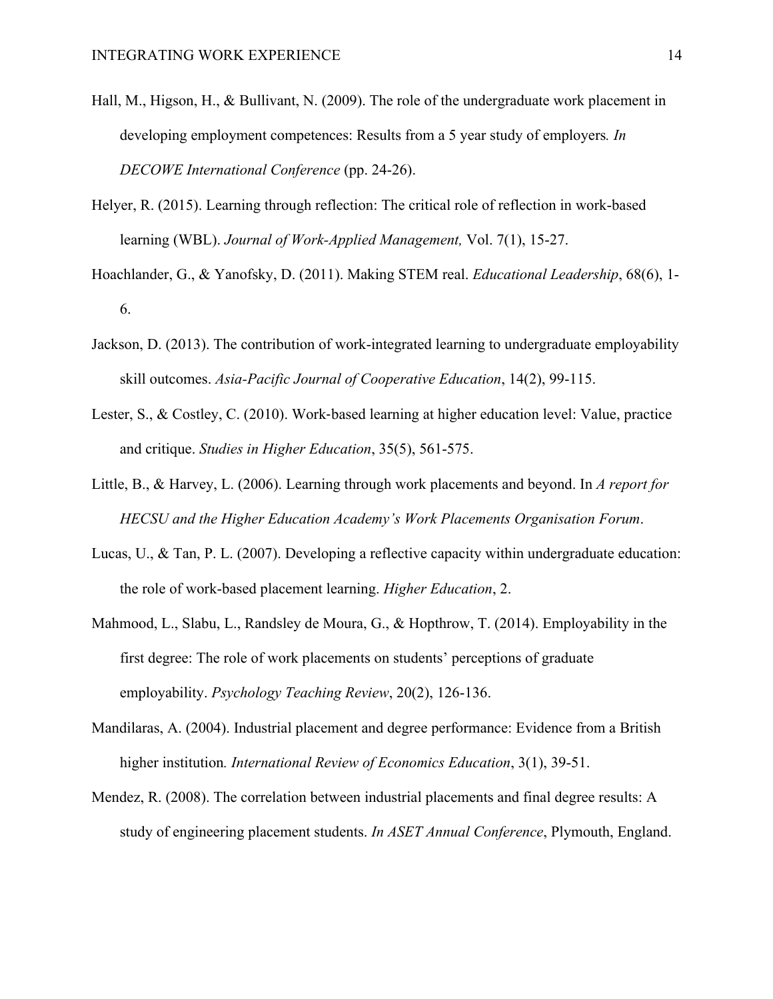- Hall, M., Higson, H., & Bullivant, N. (2009). The role of the undergraduate work placement in developing employment competences: Results from a 5 year study of employers*. In DECOWE International Conference* (pp. 24-26).
- Helyer, R. (2015). Learning through reflection: The critical role of reflection in work-based learning (WBL). *Journal of Work-Applied Management,* Vol. 7(1), 15-27.
- Hoachlander, G., & Yanofsky, D. (2011). Making STEM real. *Educational Leadership*, 68(6), 1- 6.
- Jackson, D. (2013). The contribution of work-integrated learning to undergraduate employability skill outcomes. *Asia-Pacific Journal of Cooperative Education*, 14(2), 99-115.
- Lester, S., & Costley, C. (2010). Work-based learning at higher education level: Value, practice and critique. *Studies in Higher Education*, 35(5), 561-575.
- Little, B., & Harvey, L. (2006). Learning through work placements and beyond. In *A report for HECSU and the Higher Education Academy's Work Placements Organisation Forum*.
- Lucas, U., & Tan, P. L. (2007). Developing a reflective capacity within undergraduate education: the role of work-based placement learning. *Higher Education*, 2.
- Mahmood, L., Slabu, L., Randsley de Moura, G., & Hopthrow, T. (2014). Employability in the first degree: The role of work placements on students' perceptions of graduate employability. *Psychology Teaching Review*, 20(2), 126-136.
- Mandilaras, A. (2004). Industrial placement and degree performance: Evidence from a British higher institution*. International Review of Economics Education*, 3(1), 39-51.
- Mendez, R. (2008). The correlation between industrial placements and final degree results: A study of engineering placement students. *In ASET Annual Conference*, Plymouth, England.